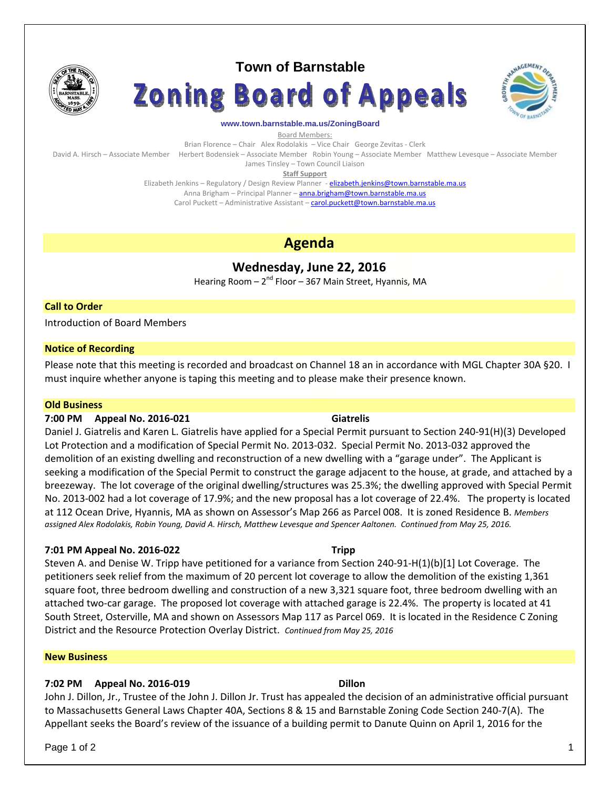

# **Town of Barnstable**





### **www.town.barnstable.ma.us/ZoningBoard**

Board Members:

Brian Florence – Chair Alex Rodolakis – Vice Chair George Zevitas - Clerk David A. Hirsch – Associate Member Herbert Bodensiek – Associate Member Robin Young – Associate Member Matthew Levesque – Associate Member

James Tinsley – Town Council Liaison

**Staff Support**

Elizabeth Jenkins - Regulatory / Design Review Planner - elizabeth.jenkins@town.barnstable.ma.us Anna Brigham – Principal Planner – **anna.brigham@town.barnstable.ma.us** Carol Puckett – Administrative Assistant – carol.puckett@town.barnstable.ma.us

# **Agenda**

# **Wednesday, June 22, 2016**

Hearing Room  $-2^{nd}$  Floor  $-367$  Main Street, Hyannis, MA

# **Call to Order**

Introduction of Board Members

### **Notice of Recording**

Please note that this meeting is recorded and broadcast on Channel 18 an in accordance with MGL Chapter 30A §20. I must inquire whether anyone is taping this meeting and to please make their presence known.

### **Old Business**

### **7:00 PM Appeal No. 2016‐021 Giatrelis**

Daniel J. Giatrelis and Karen L. Giatrelis have applied for a Special Permit pursuant to Section 240‐91(H)(3) Developed Lot Protection and a modification of Special Permit No. 2013‐032. Special Permit No. 2013‐032 approved the demolition of an existing dwelling and reconstruction of a new dwelling with a "garage under". The Applicant is seeking a modification of the Special Permit to construct the garage adjacent to the house, at grade, and attached by a breezeway. The lot coverage of the original dwelling/structures was 25.3%; the dwelling approved with Special Permit No. 2013‐002 had a lot coverage of 17.9%; and the new proposal has a lot coverage of 22.4%. The property is located at 112 Ocean Drive, Hyannis, MA as shown on Assessor's Map 266 as Parcel 008. It is zoned Residence B. *Members* assigned Alex Rodolakis, Robin Young, David A. Hirsch, Matthew Levesque and Spencer Aaltonen. Continued from May 25, 2016.

# **7:01 PM Appeal No. 2016‐022 Tripp**

Steven A. and Denise W. Tripp have petitioned for a variance from Section 240‐91‐H(1)(b)[1] Lot Coverage. The petitioners seek relief from the maximum of 20 percent lot coverage to allow the demolition of the existing 1,361 square foot, three bedroom dwelling and construction of a new 3,321 square foot, three bedroom dwelling with an attached two‐car garage. The proposed lot coverage with attached garage is 22.4%. The property is located at 41 South Street, Osterville, MA and shown on Assessors Map 117 as Parcel 069. It is located in the Residence C Zoning District and the Resource Protection Overlay District. *Continued from May 25, 2016*

### **New Business**

# **7:02 PM Appeal No. 2016‐019 Dillon**

John J. Dillon, Jr., Trustee of the John J. Dillon Jr. Trust has appealed the decision of an administrative official pursuant to Massachusetts General Laws Chapter 40A, Sections 8 & 15 and Barnstable Zoning Code Section 240‐7(A). The Appellant seeks the Board's review of the issuance of a building permit to Danute Quinn on April 1, 2016 for the

Page 1 of 2  $\hphantom{\ddots}$